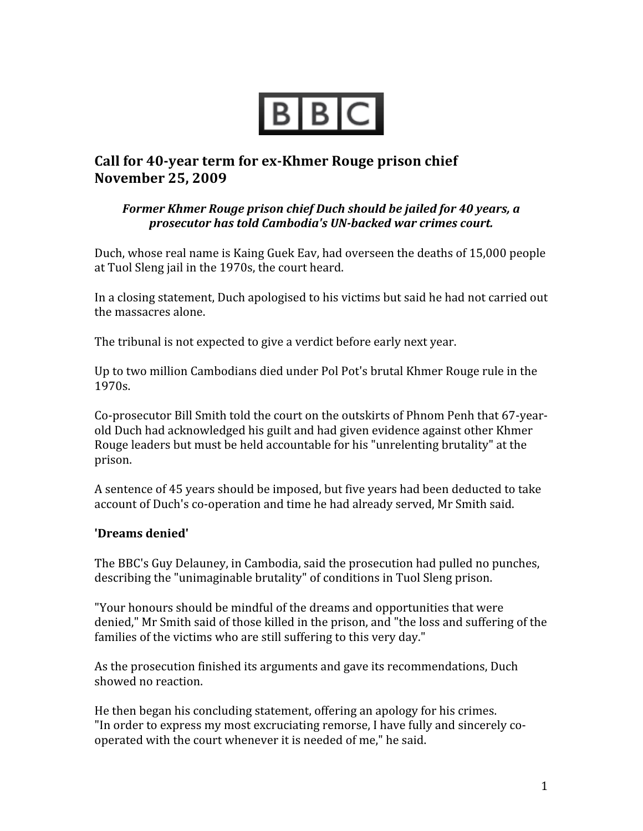

## **Call** for 40-year **term** for ex-Khmer Rouge prison chief **November 25, 2009**

## *Former
Khmer
Rouge
prison
chief
Duch
should
be
jailed
for
40
years,
a prosecutor
has
told
Cambodia's
UNbacked
war
crimes
court.*

Duch,
whose
real
name
is
Kaing
Guek
Eav,
had
overseen
the
deaths
of
15,000
people at
Tuol
Sleng
jail
in
the
1970s,
the
court
heard.

In a closing statement, Duch apologised to his victims but said he had not carried out the
massacres
alone.

The tribunal is not expected to give a verdict before early next year.

Up to two million Cambodians died under Pol Pot's brutal Khmer Rouge rule in the 1970s.

Co-prosecutor Bill Smith told the court on the outskirts of Phnom Penh that 67-yearold
Duch
had
acknowledged
his
guilt
and
had
given
evidence
against
other
Khmer Rouge leaders but must be held accountable for his "unrelenting brutality" at the prison.

A sentence of 45 years should be imposed, but five years had been deducted to take account
of
Duch's
co‐operation
and
time
he
had
already
served,
Mr
Smith
said.

## **'Dreams
denied'**

The
BBC's
Guy
Delauney,
in
Cambodia,
said
the
prosecution
had
pulled
no
punches, describing
the
"unimaginable
brutality"
of
conditions
in
Tuol
Sleng
prison.

"Your
honours
should
be
mindful
of
the
dreams
and
opportunities
that
were denied,"
Mr
Smith
said
of
those
killed
in
the
prison,
and
"the
loss
and
suffering
of
the families of the victims who are still suffering to this very day."

As the prosecution finished its arguments and gave its recommendations, Duch showed
no
reaction.

He
then
began
his
concluding
statement,
offering
an
apology
for
his
crimes. "In order to express my most excruciating remorse, I have fully and sincerely cooperated
with
the
court
whenever
it
is
needed
of
me,"
he
said.